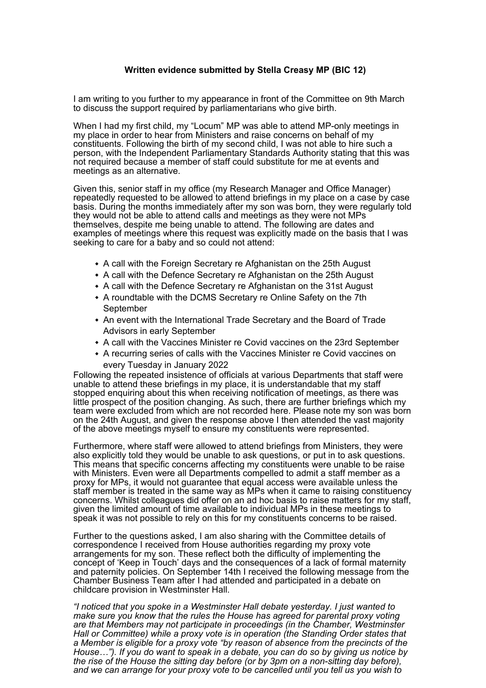## **Written evidence submitted by Stella Creasy MP (BIC 12)**

I am writing to you further to my appearance in front of the Committee on 9th March to discuss the support required by parliamentarians who give birth.

When I had my first child, my "Locum" MP was able to attend MP-only meetings in my place in order to hear from Ministers and raise concerns on behalf of my constituents. Following the birth of my second child, I was not able to hire such a person, with the Independent Parliamentary Standards Authority stating that this was not required because a member of staff could substitute for me at events and meetings as an alternative.

Given this, senior staff in my office (my Research Manager and Office Manager) repeatedly requested to be allowed to attend briefings in my place on a case by case basis. During the months immediately after my son was born, they were regularly told they would not be able to attend calls and meetings as they were not MPs themselves, despite me being unable to attend. The following are dates and examples of meetings where this request was explicitly made on the basis that I was seeking to care for a baby and so could not attend:

- A call with the Foreign Secretary re Afghanistan on the 25th August
- A call with the Defence Secretary re Afghanistan on the 25th August
- A call with the Defence Secretary re Afghanistan on the 31st August
- A roundtable with the DCMS Secretary re Online Safety on the 7th September
- An event with the International Trade Secretary and the Board of Trade Advisors in early September
- A call with the Vaccines Minister re Covid vaccines on the 23rd September
- A recurring series of calls with the Vaccines Minister re Covid vaccines on every Tuesday in January 2022

Following the repeated insistence of officials at various Departments that staff were unable to attend these briefings in my place, it is understandable that my staff stopped enquiring about this when receiving notification of meetings, as there was little prospect of the position changing. As such, there are further briefings which my team were excluded from which are not recorded here. Please note my son was born on the 24th August, and given the response above I then attended the vast majority of the above meetings myself to ensure my constituents were represented.

Furthermore, where staff were allowed to attend briefings from Ministers, they were also explicitly told they would be unable to ask questions, or put in to ask questions. This means that specific concerns affecting my constituents were unable to be raise with Ministers. Even were all Departments compelled to admit a staff member as a proxy for MPs, it would not guarantee that equal access were available unless the staff member is treated in the same way as MPs when it came to raising constituency concerns. Whilst colleagues did offer on an ad hoc basis to raise matters for my staff, given the limited amount of time available to individual MPs in these meetings to speak it was not possible to rely on this for my constituents concerns to be raised.

Further to the questions asked, I am also sharing with the Committee details of correspondence I received from House authorities regarding my proxy vote arrangements for my son. These reflect both the difficulty of implementing the concept of 'Keep in Touch' days and the consequences of a lack of formal maternity and paternity policies. On September 14th I received the following message from the Chamber Business Team after I had attended and participated in a debate on childcare provision in Westminster Hall.

*"I noticed that you spoke in a Westminster Hall debate yesterday. I just wanted to make sure you know that the rules the House has agreed for parental proxy voting are that Members may not participate in proceedings (in the Chamber, Westminster Hall or Committee) while a proxy vote is in operation (the Standing Order states that a Member is eligible for a proxy vote "by reason of absence from the precincts of the House…"). If you do want to speak in a debate, you can do so by giving us notice by the rise of the House the sitting day before (or by 3pm on a non-sitting day before), and we can arrange for your proxy vote to be cancelled until you tell us you wish to*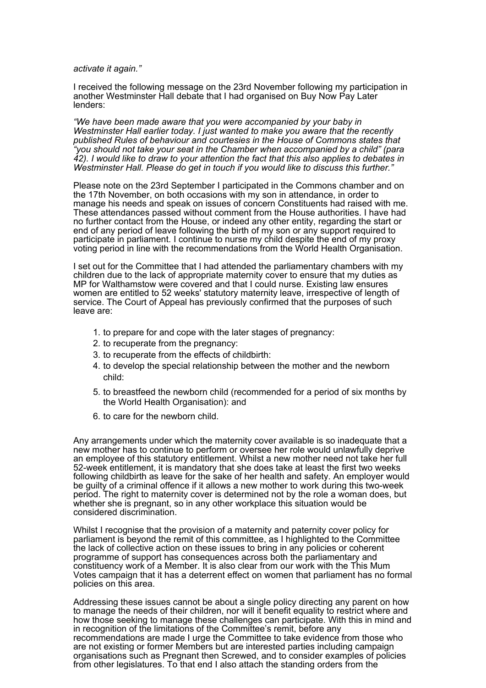*activate it again."*

I received the following message on the 23rd November following my participation in another Westminster Hall debate that I had organised on Buy Now Pay Later lenders:

*"We have been made aware that you were accompanied by your baby in Westminster Hall earlier today. I just wanted to make you aware that the recently published Rules of behaviour and courtesies in the House of Commons states that "you should not take your seat in the Chamber when accompanied by a child" (para 42). I would like to draw to your attention the fact that this also applies to debates in Westminster Hall. Please do get in touch if you would like to discuss this further."*

Please note on the 23rd September I participated in the Commons chamber and on the 17th November, on both occasions with my son in attendance, in order to manage his needs and speak on issues of concern Constituents had raised with me. These attendances passed without comment from the House authorities. I have had no further contact from the House, or indeed any other entity, regarding the start or end of any period of leave following the birth of my son or any support required to participate in parliament. I continue to nurse my child despite the end of my proxy voting period in line with the recommendations from the World Health Organisation.

I set out for the Committee that I had attended the parliamentary chambers with my children due to the lack of appropriate maternity cover to ensure that my duties as MP for Walthamstow were covered and that I could nurse. Existing law ensures women are entitled to 52 weeks' statutory maternity leave, irrespective of length of service. The Court of Appeal has previously confirmed that the purposes of such leave are:

- 1. to prepare for and cope with the later stages of pregnancy:
- 2. to recuperate from the pregnancy:
- 3. to recuperate from the effects of childbirth:
- 4. to develop the special relationship between the mother and the newborn child:
- 5. to breastfeed the newborn child (recommended for a period of six months by the World Health Organisation): and
- 6. to care for the newborn child.

Any arrangements under which the maternity cover available is so inadequate that a new mother has to continue to perform or oversee her role would unlawfully deprive an employee of this statutory entitlement. Whilst a new mother need not take her full 52-week entitlement, it is mandatory that she does take at least the first two weeks following childbirth as leave for the sake of her health and safety. An employer would be guilty of a criminal offence if it allows a new mother to work during this two-week period. The right to maternity cover is determined not by the role a woman does, but whether she is pregnant, so in any other workplace this situation would be considered discrimination.

Whilst I recognise that the provision of a maternity and paternity cover policy for parliament is beyond the remit of this committee, as I highlighted to the Committee the lack of collective action on these issues to bring in any policies or coherent programme of support has consequences across both the parliamentary and constituency work of a Member. It is also clear from our work with the This Mum Votes campaign that it has a deterrent effect on women that parliament has no formal policies on this area.

Addressing these issues cannot be about a single policy directing any parent on how to manage the needs of their children, nor will it benefit equality to restrict where and how those seeking to manage these challenges can participate. With this in mind and in recognition of the limitations of the Committee's remit, before any recommendations are made I urge the Committee to take evidence from those who are not existing or former Members but are interested parties including campaign organisations such as Pregnant then Screwed, and to consider examples of policies from other legislatures. To that end I also attach the standing orders from the